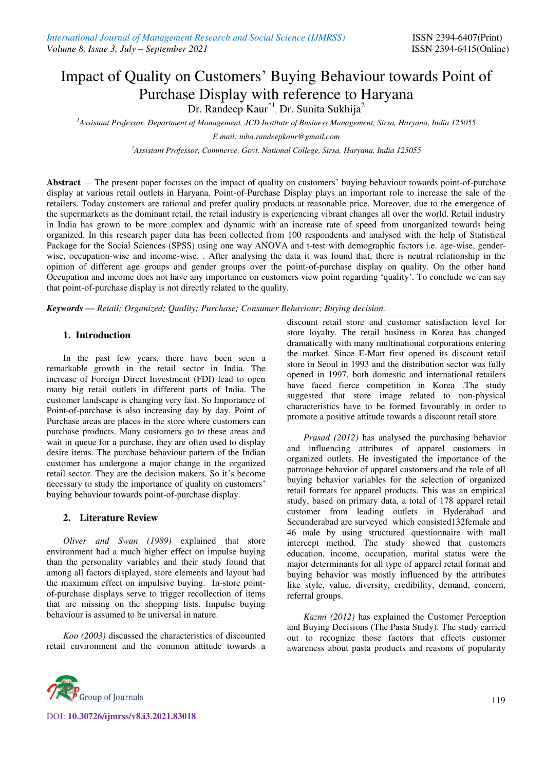# Impact of Quality on Customers' Buying Behaviour towards Point of Purchase Display with reference to Haryana Dr. Randeep Kaur<sup>\*1</sup>, Dr. Sunita Sukhija<sup>2</sup>

*<sup>1</sup>Assistant Professor, Department of Management, JCD Institute of Business Management, Sirsa, Haryana, India 125055* 

*E mail: mba.randeepkaur@gmail.com* 

*<sup>2</sup>Assistant Professor, Commerce, Govt. National College, Sirsa, Haryana, India 125055* 

**Abstract** *—* The present paper focuses on the impact of quality on customers' buying behaviour towards point-of-purchase display at various retail outlets in Haryana. Point-of-Purchase Display plays an important role to increase the sale of the retailers. Today customers are rational and prefer quality products at reasonable price. Moreover, due to the emergence of the supermarkets as the dominant retail, the retail industry is experiencing vibrant changes all over the world. Retail industry in India has grown to be more complex and dynamic with an increase rate of speed from unorganized towards being organized. In this research paper data has been collected from 100 respondents and analysed with the help of Statistical Package for the Social Sciences (SPSS) using one way ANOVA and t-test with demographic factors i.e. age-wise, genderwise, occupation-wise and income-wise. . After analysing the data it was found that, there is neutral relationship in the opinion of different age groups and gender groups over the point-of-purchase display on quality. On the other hand Occupation and income does not have any importance on customers view point regarding 'quality'. To conclude we can say that point-of-purchase display is not directly related to the quality.

*Keywords — Retail; Organized; Quality; Purchase; Consumer Behaviour; Buying decision.*

### **1. Introduction**

In the past few years, there have been seen a remarkable growth in the retail sector in India. The increase of Foreign Direct Investment (FDI) lead to open many big retail outlets in different parts of India. The customer landscape is changing very fast. So Importance of Point-of-purchase is also increasing day by day. Point of Purchase areas are places in the store where customers can purchase products. Many customers go to these areas and wait in queue for a purchase, they are often used to display desire items. The purchase behaviour pattern of the Indian customer has undergone a major change in the organized retail sector. They are the decision makers. So it's become necessary to study the importance of quality on customers' buying behaviour towards point-of-purchase display.

#### **2. Literature Review**

*Oliver and Swan (1989)* explained that store environment had a much higher effect on impulse buying than the personality variables and their study found that among all factors displayed, store elements and layout had the maximum effect on impulsive buying. In-store pointof-purchase displays serve to trigger recollection of items that are missing on the shopping lists. Impulse buying behaviour is assumed to be universal in nature.

*Koo (2003)* discussed the characteristics of discounted retail environment and the common attitude towards a

discount retail store and customer satisfaction level for store loyalty. The retail business in Korea has changed dramatically with many multinational corporations entering the market. Since E-Mart first opened its discount retail store in Seoul in 1993 and the distribution sector was fully opened in 1997, both domestic and international retailers have faced fierce competition in Korea .The study suggested that store image related to non-physical characteristics have to be formed favourably in order to promote a positive attitude towards a discount retail store.

*Prasad (2012)* has analysed the purchasing behavior and influencing attributes of apparel customers in organized outlets. He investigated the importance of the patronage behavior of apparel customers and the role of all buying behavior variables for the selection of organized retail formats for apparel products. This was an empirical study, based on primary data, a total of 178 apparel retail customer from leading outlets in Hyderabad and Secunderabad are surveyed which consisted132female and 46 male by using structured questionnaire with mall intercept method. The study showed that customers education, income, occupation, marital status were the major determinants for all type of apparel retail format and buying behavior was mostly influenced by the attributes like style, value, diversity, credibility, demand, concern, referral groups.

*Kazmi (2012)* has explained the Customer Perception and Buying Decisions (The Pasta Study). The study carried out to recognize those factors that effects customer awareness about pasta products and reasons of popularity



DOI: **10.30726/ijmrss/v8.i3.2021.83018**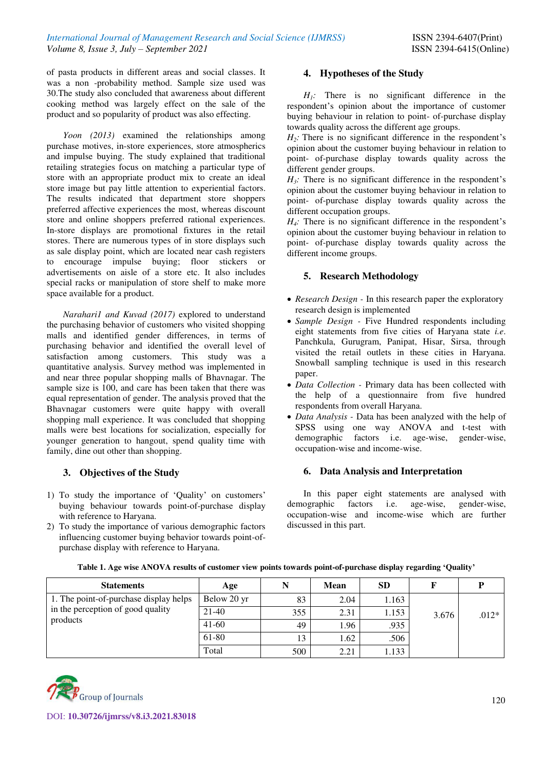of pasta products in different areas and social classes. It was a non -probability method. Sample size used was 30.The study also concluded that awareness about different cooking method was largely effect on the sale of the product and so popularity of product was also effecting.

*Yoon (2013)* examined the relationships among purchase motives, in-store experiences, store atmospherics and impulse buying. The study explained that traditional retailing strategies focus on matching a particular type of store with an appropriate product mix to create an ideal store image but pay little attention to experiential factors. The results indicated that department store shoppers preferred affective experiences the most, whereas discount store and online shoppers preferred rational experiences. In-store displays are promotional fixtures in the retail stores. There are numerous types of in store displays such as sale display point, which are located near cash registers to encourage impulse buying; floor stickers or advertisements on aisle of a store etc. It also includes special racks or manipulation of store shelf to make more space available for a product.

*Narahari1 and Kuvad (2017)* explored to understand the purchasing behavior of customers who visited shopping malls and identified gender differences, in terms of purchasing behavior and identified the overall level of satisfaction among customers. This study was a quantitative analysis. Survey method was implemented in and near three popular shopping malls of Bhavnagar. The sample size is 100, and care has been taken that there was equal representation of gender. The analysis proved that the Bhavnagar customers were quite happy with overall shopping mall experience. It was concluded that shopping malls were best locations for socialization, especially for younger generation to hangout, spend quality time with family, dine out other than shopping.

# **3. Objectives of the Study**

- 1) To study the importance of 'Quality' on customers' buying behaviour towards point-of-purchase display with reference to Haryana.
- 2) To study the importance of various demographic factors influencing customer buying behavior towards point-ofpurchase display with reference to Haryana.

# **4. Hypotheses of the Study**

 $H_1$ : There is no significant difference in the respondent's opinion about the importance of customer buying behaviour in relation to point- of-purchase display towards quality across the different age groups.

 $H_2$ : There is no significant difference in the respondent's opinion about the customer buying behaviour in relation to point- of-purchase display towards quality across the different gender groups.

 $H_3$ : There is no significant difference in the respondent's opinion about the customer buying behaviour in relation to point- of-purchase display towards quality across the different occupation groups.

 $H_4$ : There is no significant difference in the respondent's opinion about the customer buying behaviour in relation to point- of-purchase display towards quality across the different income groups.

## **5. Research Methodology**

- *Research Design -* In this research paper the exploratory research design is implemented
- *Sample Design* Five Hundred respondents including eight statements from five cities of Haryana state *i.e*. Panchkula, Gurugram, Panipat, Hisar, Sirsa, through visited the retail outlets in these cities in Haryana. Snowball sampling technique is used in this research paper.
- *Data Collection -* Primary data has been collected with the help of a questionnaire from five hundred respondents from overall Haryana.
- *Data Analysis -* Data has been analyzed with the help of SPSS using one way ANOVA and t-test with demographic factors i.e. age-wise, gender-wise, occupation-wise and income-wise.

# **6. Data Analysis and Interpretation**

In this paper eight statements are analysed with demographic factors i.e. age-wise, gender-wise, occupation-wise and income-wise which are further discussed in this part.

| <b>Statements</b>                                                                       | Age         |     | Mean | <b>SD</b> |       |         |
|-----------------------------------------------------------------------------------------|-------------|-----|------|-----------|-------|---------|
| 1. The point-of-purchase display helps<br>in the perception of good quality<br>products | Below 20 yr | 83  | 2.04 | 1.163     |       |         |
|                                                                                         | 21-40       | 355 | 2.31 | 1.153     | 3.676 | $.012*$ |
|                                                                                         | $41-60$     | 49  | 1.96 | .935      |       |         |
|                                                                                         | 61-80       | 13  | 1.62 | .506      |       |         |
|                                                                                         | Total       | 500 | 2.21 | 1.133     |       |         |

#### **Table 1. Age wise ANOVA results of customer view points towards point-of-purchase display regarding 'Quality'**

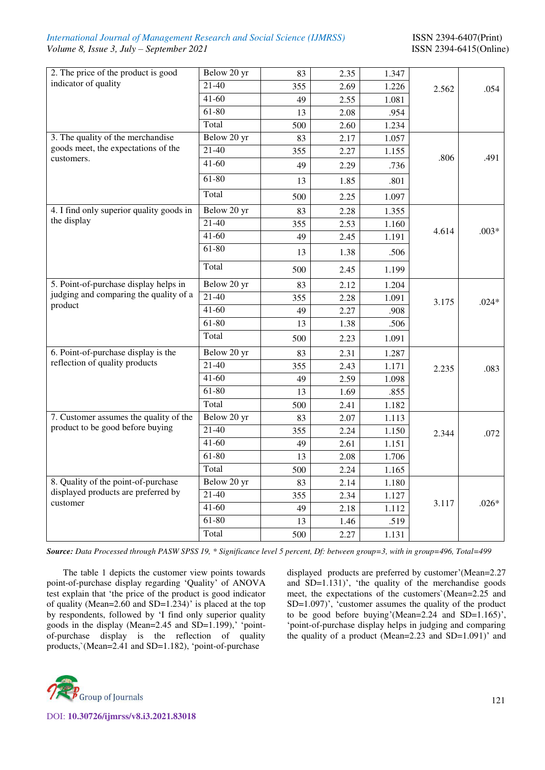## *International Journal of Management Research and Social Science (IJMRSS)* ISSN 2394-6407(Print) *Volume 8, Issue 3, July – September 2021* ISSN 2394-6415(Online)

| 2. The price of the product is good      | Below 20 yr | 83  | 2.35 | 1.347 |       |         |
|------------------------------------------|-------------|-----|------|-------|-------|---------|
| indicator of quality                     | $21-40$     | 355 | 2.69 | 1.226 | 2.562 | .054    |
|                                          | $41 - 60$   | 49  | 2.55 | 1.081 |       |         |
|                                          | 61-80       | 13  | 2.08 | .954  |       |         |
|                                          | Total       | 500 | 2.60 | 1.234 |       |         |
| 3. The quality of the merchandise        | Below 20 yr | 83  | 2.17 | 1.057 |       |         |
| goods meet, the expectations of the      | $21-40$     | 355 | 2.27 | 1.155 |       | .491    |
| customers.                               | $41-60$     | 49  | 2.29 | .736  | .806  |         |
|                                          | 61-80       | 13  | 1.85 | .801  |       |         |
|                                          | Total       | 500 | 2.25 | 1.097 |       |         |
| 4. I find only superior quality goods in | Below 20 yr | 83  | 2.28 | 1.355 |       |         |
| the display                              | $21-40$     | 355 | 2.53 | 1.160 |       |         |
|                                          | $41-60$     | 49  | 2.45 | 1.191 | 4.614 | $.003*$ |
|                                          | 61-80       | 13  | 1.38 | .506  |       |         |
|                                          | Total       | 500 | 2.45 | 1.199 |       |         |
| 5. Point-of-purchase display helps in    | Below 20 yr | 83  | 2.12 | 1.204 |       |         |
| judging and comparing the quality of a   | $21-40$     | 355 | 2.28 | 1.091 | 3.175 | $.024*$ |
| product                                  | $41 - 60$   | 49  | 2.27 | .908  |       |         |
|                                          | $61 - 80$   | 13  | 1.38 | .506  |       |         |
|                                          | Total       | 500 | 2.23 | 1.091 |       |         |
| 6. Point-of-purchase display is the      | Below 20 yr | 83  | 2.31 | 1.287 |       |         |
| reflection of quality products           | $21 - 40$   | 355 | 2.43 | 1.171 | 2.235 | .083    |
|                                          | $41 - 60$   | 49  | 2.59 | 1.098 |       |         |
|                                          | 61-80       | 13  | 1.69 | .855  |       |         |
|                                          | Total       | 500 | 2.41 | 1.182 |       |         |
| 7. Customer assumes the quality of the   | Below 20 yr | 83  | 2.07 | 1.113 |       |         |
| product to be good before buying         | $21-40$     | 355 | 2.24 | 1.150 | 2.344 | .072    |
|                                          | $41 - 60$   | 49  | 2.61 | 1.151 |       |         |
|                                          | 61-80       | 13  | 2.08 | 1.706 |       |         |
|                                          | Total       | 500 | 2.24 | 1.165 |       |         |
| 8. Quality of the point-of-purchase      | Below 20 yr | 83  | 2.14 | 1.180 |       |         |
| displayed products are preferred by      | $21-40$     | 355 | 2.34 | 1.127 |       |         |
| customer                                 | $41-60$     | 49  | 2.18 | 1.112 | 3.117 | $.026*$ |
|                                          | $61 - 80$   | 13  | 1.46 | .519  |       |         |
|                                          | Total       | 500 | 2.27 | 1.131 |       |         |

*Source: Data Processed through PASW SPSS 19, \* Significance level 5 percent, Df: between group=3, with in group=496, Total=499* 

The table 1 depicts the customer view points towards point-of-purchase display regarding 'Quality' of ANOVA test explain that 'the price of the product is good indicator of quality (Mean=2.60 and SD=1.234)' is placed at the top by respondents, followed by 'I find only superior quality goods in the display (Mean=2.45 and SD=1.199),' 'pointof-purchase display is the reflection of quality products,`(Mean=2.41 and SD=1.182), 'point-of-purchase

displayed products are preferred by customer'(Mean=2.27 and SD=1.131)', 'the quality of the merchandise goods meet, the expectations of the customers`(Mean=2.25 and SD=1.097)', 'customer assumes the quality of the product to be good before buying'(Mean=2.24 and SD=1.165)', 'point-of-purchase display helps in judging and comparing the quality of a product (Mean=2.23 and SD=1.091)' and

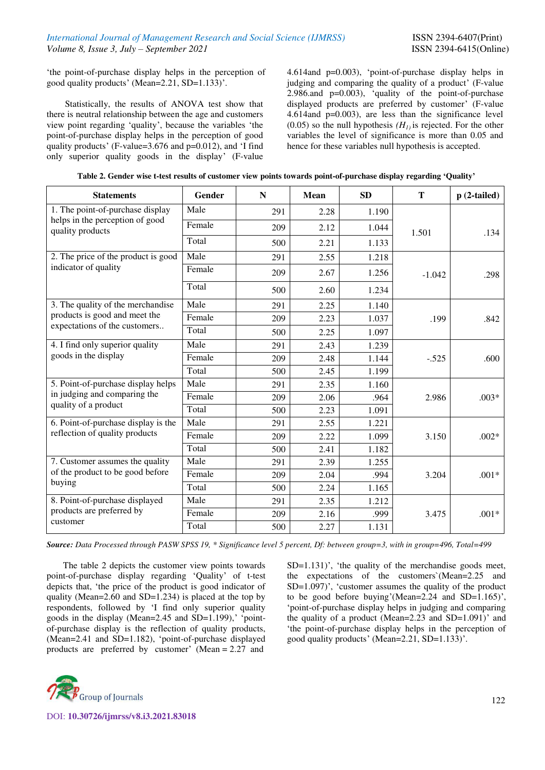'the point-of-purchase display helps in the perception of good quality products' (Mean=2.21, SD=1.133)'.

Statistically, the results of ANOVA test show that there is neutral relationship between the age and customers view point regarding 'quality', because the variables 'the point-of-purchase display helps in the perception of good quality products' (F-value=3.676 and p=0.012), and 'I find only superior quality goods in the display' (F-value

4.614and p=0.003), 'point-of-purchase display helps in judging and comparing the quality of a product' (F-value 2.986.and p=0.003), 'quality of the point-of-purchase displayed products are preferred by customer' (F-value 4.614and p=0.003), are less than the significance level (0.05) so the null hypothesis  $(H<sub>I</sub>)$  is rejected. For the other variables the level of significance is more than 0.05 and hence for these variables null hypothesis is accepted.

| <b>Statements</b>                                   | <b>Gender</b> | N   | Mean | <b>SD</b> | T        | $p(2-tailed)$ |
|-----------------------------------------------------|---------------|-----|------|-----------|----------|---------------|
| 1. The point-of-purchase display                    | Male          | 291 | 2.28 | 1.190     |          |               |
| helps in the perception of good<br>quality products | Female        | 209 | 2.12 | 1.044     | 1.501    | .134          |
|                                                     | Total         | 500 | 2.21 | 1.133     |          |               |
| 2. The price of the product is good                 | Male          | 291 | 2.55 | 1.218     |          |               |
| indicator of quality                                | Female        | 209 | 2.67 | 1.256     | $-1.042$ | .298          |
|                                                     | Total         | 500 | 2.60 | 1.234     |          |               |
| 3. The quality of the merchandise                   | Male          | 291 | 2.25 | 1.140     |          |               |
| products is good and meet the                       | Female        | 209 | 2.23 | 1.037     | .199     | .842          |
| expectations of the customers                       | Total         | 500 | 2.25 | 1.097     |          |               |
| 4. I find only superior quality                     | Male          | 291 | 2.43 | 1.239     |          |               |
| goods in the display                                | Female        | 209 | 2.48 | 1.144     | $-.525$  | .600          |
|                                                     | Total         | 500 | 2.45 | 1.199     |          |               |
| 5. Point-of-purchase display helps                  | Male          | 291 | 2.35 | 1.160     |          |               |
| in judging and comparing the                        | Female        | 209 | 2.06 | .964      | 2.986    | $.003*$       |
| quality of a product                                | Total         | 500 | 2.23 | 1.091     |          |               |
| 6. Point-of-purchase display is the                 | Male          | 291 | 2.55 | 1.221     |          |               |
| reflection of quality products                      | Female        | 209 | 2.22 | 1.099     | 3.150    | $.002*$       |
|                                                     | Total         | 500 | 2.41 | 1.182     |          |               |
| 7. Customer assumes the quality                     | Male          | 291 | 2.39 | 1.255     |          |               |
| of the product to be good before                    | Female        | 209 | 2.04 | .994      | 3.204    | $.001*$       |
| buying                                              | Total         | 500 | 2.24 | 1.165     |          |               |
| 8. Point-of-purchase displayed                      | Male          | 291 | 2.35 | 1.212     |          |               |
| products are preferred by                           | Female        | 209 | 2.16 | .999      | 3.475    | $.001*$       |
| customer                                            | Total         | 500 | 2.27 | 1.131     |          |               |

*Source: Data Processed through PASW SPSS 19, \* Significance level 5 percent, Df: between group=3, with in group=496, Total=499* 

The table 2 depicts the customer view points towards point-of-purchase display regarding 'Quality' of t-test depicts that, 'the price of the product is good indicator of quality (Mean=2.60 and SD=1.234) is placed at the top by respondents, followed by 'I find only superior quality goods in the display (Mean=2.45 and SD=1.199),' 'pointof-purchase display is the reflection of quality products, (Mean=2.41 and SD=1.182), 'point-of-purchase displayed products are preferred by customer' (Mean = 2.27 and

SD=1.131)', 'the quality of the merchandise goods meet, the expectations of the customers`(Mean=2.25 and SD=1.097)', 'customer assumes the quality of the product to be good before buying'(Mean=2.24 and SD=1.165)', 'point-of-purchase display helps in judging and comparing the quality of a product (Mean=2.23 and SD=1.091)' and 'the point-of-purchase display helps in the perception of good quality products' (Mean=2.21, SD=1.133)'.

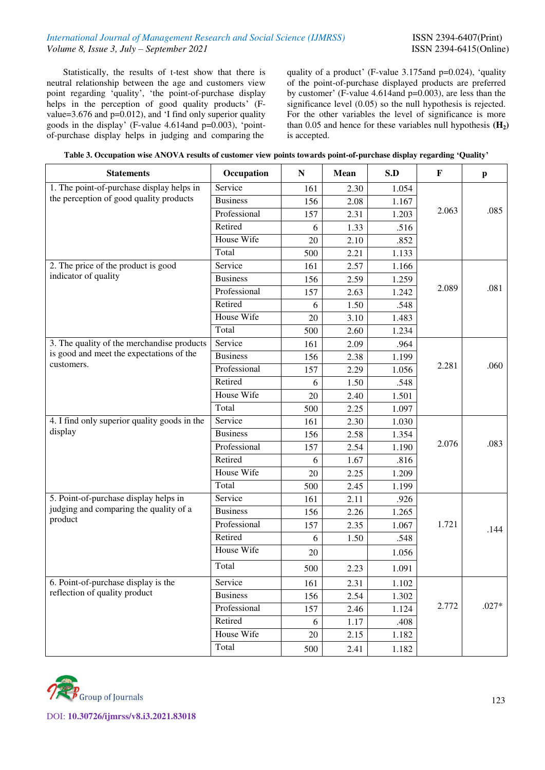Statistically, the results of t-test show that there is neutral relationship between the age and customers view point regarding 'quality', 'the point-of-purchase display helps in the perception of good quality products' (Fvalue=3.676 and p=0.012), and 'I find only superior quality goods in the display' (F-value 4.614and p=0.003), 'pointof-purchase display helps in judging and comparing the

quality of a product' (F-value 3.175and p=0.024), 'quality of the point-of-purchase displayed products are preferred by customer' (F-value 4.614and p=0.003), are less than the significance level (0.05) so the null hypothesis is rejected. For the other variables the level of significance is more than 0.05 and hence for these variables null hypothesis **(H2)** is accepted.

| Table 3. Occupation wise ANOVA results of customer view points towards point-of-purchase display regarding 'Quality' |  |  |
|----------------------------------------------------------------------------------------------------------------------|--|--|
|                                                                                                                      |  |  |

| <b>Statements</b>                                 | Occupation      | ${\bf N}$ | Mean | S.D   | $\mathbf{F}$ | $\mathbf{p}$ |
|---------------------------------------------------|-----------------|-----------|------|-------|--------------|--------------|
| 1. The point-of-purchase display helps in         | Service         | 161       | 2.30 | 1.054 |              |              |
| the perception of good quality products           | <b>Business</b> | 156       | 2.08 | 1.167 |              |              |
|                                                   | Professional    | 157       | 2.31 | 1.203 | 2.063        | .085         |
|                                                   | Retired         | 6         | 1.33 | .516  |              |              |
|                                                   | House Wife      | 20        | 2.10 | .852  |              |              |
|                                                   | Total           | 500       | 2.21 | 1.133 |              |              |
| 2. The price of the product is good               | Service         | 161       | 2.57 | 1.166 |              |              |
| indicator of quality                              | <b>Business</b> | 156       | 2.59 | 1.259 |              |              |
|                                                   | Professional    | 157       | 2.63 | 1.242 | 2.089        | .081         |
|                                                   | Retired         | 6         | 1.50 | .548  |              |              |
|                                                   | House Wife      | 20        | 3.10 | 1.483 |              |              |
|                                                   | Total           | 500       | 2.60 | 1.234 |              |              |
| 3. The quality of the merchandise products        | Service         | 161       | 2.09 | .964  |              |              |
| is good and meet the expectations of the          | <b>Business</b> | 156       | 2.38 | 1.199 |              |              |
| customers.                                        | Professional    | 157       | 2.29 | 1.056 | 2.281        | .060         |
|                                                   | Retired         | 6         | 1.50 | .548  |              |              |
|                                                   | House Wife      | 20        | 2.40 | 1.501 |              |              |
|                                                   | Total           | 500       | 2.25 | 1.097 |              |              |
| 4. I find only superior quality goods in the      | Service         | 161       | 2.30 | 1.030 |              |              |
| display                                           | <b>Business</b> | 156       | 2.58 | 1.354 |              |              |
|                                                   | Professional    | 157       | 2.54 | 1.190 | 2.076        | .083         |
|                                                   | Retired         | 6         | 1.67 | .816  |              |              |
|                                                   | House Wife      | 20        | 2.25 | 1.209 |              |              |
|                                                   | Total           | 500       | 2.45 | 1.199 |              |              |
| 5. Point-of-purchase display helps in             | Service         | 161       | 2.11 | .926  |              |              |
| judging and comparing the quality of a<br>product | <b>Business</b> | 156       | 2.26 | 1.265 |              |              |
|                                                   | Professional    | 157       | 2.35 | 1.067 | 1.721        | .144         |
|                                                   | Retired         | 6         | 1.50 | .548  |              |              |
|                                                   | House Wife      | 20        |      | 1.056 |              |              |
|                                                   | Total           | 500       | 2.23 | 1.091 |              |              |
| 6. Point-of-purchase display is the               | Service         | 161       | 2.31 | 1.102 |              |              |
| reflection of quality product                     | <b>Business</b> | 156       | 2.54 | 1.302 |              |              |
|                                                   | Professional    | 157       | 2.46 | 1.124 | 2.772        | $.027*$      |
|                                                   | Retired         | 6         | 1.17 | .408  |              |              |
|                                                   | House Wife      | 20        | 2.15 | 1.182 |              |              |
|                                                   | Total           | 500       | 2.41 | 1.182 |              |              |

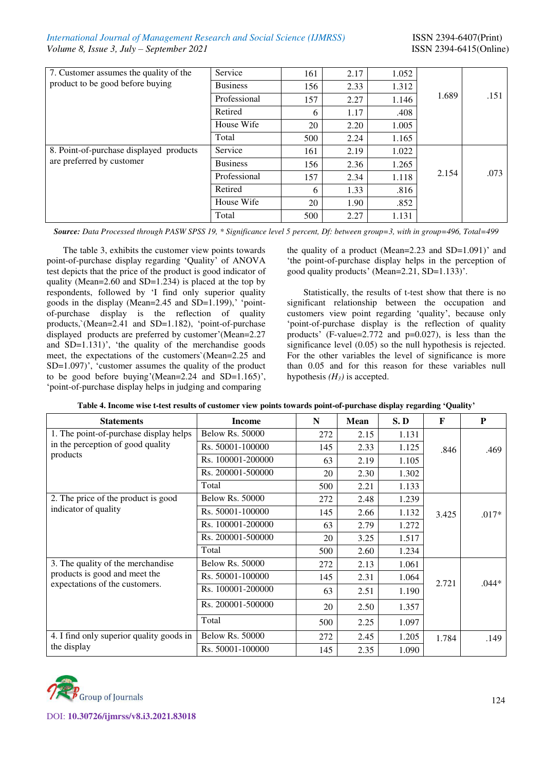## *International Journal of Management Research and Social Science (IJMRSS)* ISSN 2394-6407(Print) *Volume 8, Issue 3, July – September 2021* ISSN 2394-6415(Online)

| 7. Customer assumes the quality of the<br>product to be good before buying | Service         | 161 | 2.17 | 1.052 |       |      |
|----------------------------------------------------------------------------|-----------------|-----|------|-------|-------|------|
|                                                                            | <b>Business</b> | 156 | 2.33 | 1.312 |       |      |
|                                                                            | Professional    | 157 | 2.27 | 1.146 | 1.689 | .151 |
|                                                                            | Retired         | 6   | 1.17 | .408  |       |      |
|                                                                            | House Wife      | 20  | 2.20 | 1.005 |       |      |
|                                                                            | Total           | 500 | 2.24 | 1.165 |       |      |
| 8. Point-of-purchase displayed products                                    | Service         | 161 | 2.19 | 1.022 |       |      |
| are preferred by customer                                                  | <b>Business</b> | 156 | 2.36 | 1.265 | 2.154 |      |
|                                                                            | Professional    | 157 | 2.34 | 1.118 |       | .073 |
|                                                                            | Retired         | 6   | 1.33 | .816  |       |      |
|                                                                            | House Wife      | 20  | 1.90 | .852  |       |      |
|                                                                            | Total           | 500 | 2.27 | 1.131 |       |      |

*Source: Data Processed through PASW SPSS 19, \* Significance level 5 percent, Df: between group=3, with in group=496, Total=499* 

The table 3, exhibits the customer view points towards point-of-purchase display regarding 'Quality' of ANOVA test depicts that the price of the product is good indicator of quality (Mean=2.60 and SD=1.234) is placed at the top by respondents, followed by 'I find only superior quality goods in the display (Mean=2.45 and SD=1.199),' 'pointof-purchase display is the reflection of quality products,`(Mean=2.41 and SD=1.182), 'point-of-purchase displayed products are preferred by customer'(Mean=2.27 and SD=1.131)', 'the quality of the merchandise goods meet, the expectations of the customers`(Mean=2.25 and SD=1.097)', 'customer assumes the quality of the product to be good before buying'(Mean=2.24 and SD=1.165)', 'point-of-purchase display helps in judging and comparing

the quality of a product (Mean= $2.23$  and SD= $1.091$ )' and 'the point-of-purchase display helps in the perception of good quality products' (Mean=2.21, SD=1.133)'.

Statistically, the results of t-test show that there is no significant relationship between the occupation and customers view point regarding 'quality', because only 'point-of-purchase display is the reflection of quality products' (F-value=2.772 and p=0.027), is less than the significance level (0.05) so the null hypothesis is rejected. For the other variables the level of significance is more than 0.05 and for this reason for these variables null hypothesis  $(H_3)$  is accepted.

| Table 4. Income wise t-test results of customer view points towards point-of-purchase display regarding 'Quality' |  |  |  |
|-------------------------------------------------------------------------------------------------------------------|--|--|--|
|-------------------------------------------------------------------------------------------------------------------|--|--|--|

| <b>Statements</b>                        | <b>Income</b>          | N   | <b>Mean</b> | S.D   | F     | P       |
|------------------------------------------|------------------------|-----|-------------|-------|-------|---------|
| 1. The point-of-purchase display helps   | <b>Below Rs. 50000</b> | 272 | 2.15        | 1.131 |       |         |
| in the perception of good quality        | Rs. 50001-100000       | 145 | 2.33        | 1.125 | .846  | .469    |
| products                                 | Rs. 100001-200000      | 63  | 2.19        | 1.105 |       |         |
|                                          | Rs. 200001-500000      | 20  | 2.30        | 1.302 |       |         |
|                                          | Total                  | 500 | 2.21        | 1.133 |       |         |
| 2. The price of the product is good      | <b>Below Rs. 50000</b> | 272 | 2.48        | 1.239 |       |         |
| indicator of quality                     | Rs. 50001-100000       | 145 | 2.66        | 1.132 | 3.425 | $.017*$ |
|                                          | Rs. 100001-200000      | 63  | 2.79        | 1.272 |       |         |
|                                          | Rs. 200001-500000      | 20  | 3.25        | 1.517 |       |         |
|                                          | Total                  | 500 | 2.60        | 1.234 |       |         |
| 3. The quality of the merchandise        | <b>Below Rs. 50000</b> | 272 | 2.13        | 1.061 |       |         |
| products is good and meet the            | Rs. 50001-100000       | 145 | 2.31        | 1.064 | 2.721 | $.044*$ |
| expectations of the customers.           | Rs. 100001-200000      | 63  | 2.51        | 1.190 |       |         |
|                                          | Rs. 200001-500000      | 20  | 2.50        | 1.357 |       |         |
|                                          | Total                  | 500 | 2.25        | 1.097 |       |         |
| 4. I find only superior quality goods in | <b>Below Rs. 50000</b> | 272 | 2.45        | 1.205 | 1.784 | .149    |
| the display                              | Rs. 50001-100000       | 145 | 2.35        | 1.090 |       |         |

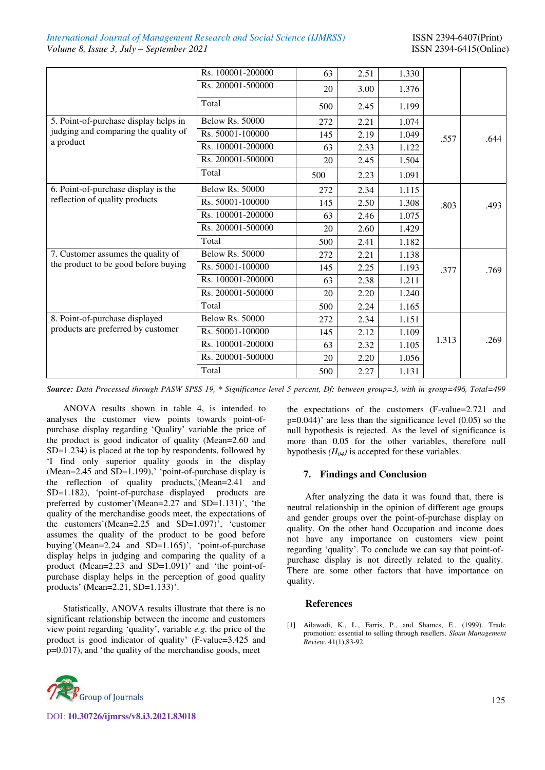|                                       | Rs. 100001-200000      | 63  | 2.51 | 1.330 |       |      |
|---------------------------------------|------------------------|-----|------|-------|-------|------|
|                                       | Rs. 200001-500000      | 20  | 3.00 | 1.376 |       |      |
|                                       | Total                  | 500 | 2.45 | 1.199 |       |      |
| 5. Point-of-purchase display helps in | <b>Below Rs. 50000</b> | 272 | 2.21 | 1.074 |       |      |
| judging and comparing the quality of  | Rs. 50001-100000       | 145 | 2.19 | 1.049 | .557  | .644 |
| a product                             | Rs. 100001-200000      | 63  | 2.33 | 1.122 |       |      |
|                                       | Rs. 200001-500000      | 20  | 2.45 | 1.504 |       |      |
|                                       | Total                  | 500 | 2.23 | 1.091 |       |      |
| 6. Point-of-purchase display is the   | <b>Below Rs. 50000</b> | 272 | 2.34 | 1.115 |       |      |
| reflection of quality products        | Rs. 50001-100000       | 145 | 2.50 | 1.308 | .803  | .493 |
|                                       | Rs. 100001-200000      | 63  | 2.46 | 1.075 |       |      |
|                                       | Rs. 200001-500000      | 20  | 2.60 | 1.429 |       |      |
|                                       | Total                  | 500 | 2.41 | 1.182 |       |      |
| 7. Customer assumes the quality of    | <b>Below Rs. 50000</b> | 272 | 2.21 | 1.138 |       |      |
| the product to be good before buying  | Rs. 50001-100000       | 145 | 2.25 | 1.193 | .377  | .769 |
|                                       | Rs. 100001-200000      | 63  | 2.38 | 1.211 |       |      |
|                                       | Rs. 200001-500000      | 20  | 2.20 | 1.240 |       |      |
|                                       | Total                  | 500 | 2.24 | 1.165 |       |      |
| 8. Point-of-purchase displayed        | <b>Below Rs. 50000</b> | 272 | 2.34 | 1.151 |       |      |
| products are preferred by customer    | Rs. 50001-100000       | 145 | 2.12 | 1.109 |       |      |
|                                       | Rs. 100001-200000      | 63  | 2.32 | 1.105 | 1.313 | .269 |
|                                       | Rs. 200001-500000      | 20  | 2.20 | 1.056 |       |      |
|                                       | Total                  | 500 | 2.27 | 1.131 |       |      |

*Source: Data Processed through PASW SPSS 19, \* Significance level 5 percent, Df: between group=3, with in group=496, Total=499*

ANOVA results shown in table 4, is intended to analyses the customer view points towards point-ofpurchase display regarding 'Quality' variable the price of the product is good indicator of quality (Mean=2.60 and SD=1.234) is placed at the top by respondents, followed by 'I find only superior quality goods in the display (Mean=2.45 and SD=1.199),' 'point-of-purchase display is the reflection of quality products,`(Mean=2.41 and SD=1.182), 'point-of-purchase displayed products are preferred by customer'(Mean=2.27 and SD=1.131)', 'the quality of the merchandise goods meet, the expectations of the customers`(Mean=2.25 and SD=1.097)', 'customer assumes the quality of the product to be good before buying'(Mean=2.24 and SD=1.165)', 'point-of-purchase display helps in judging and comparing the quality of a product (Mean=2.23 and SD=1.091)' and 'the point-ofpurchase display helps in the perception of good quality products' (Mean=2.21, SD=1.133)'.

Statistically, ANOVA results illustrate that there is no significant relationship between the income and customers view point regarding 'quality', variable *e.g.* the price of the product is good indicator of quality' (F-value=3.425 and p=0.017), and 'the quality of the merchandise goods, meet



DOI: **10.30726/ijmrss/v8.i3.2021.83018**

the expectations of the customers (F-value=2.721 and  $p=0.044$ )' are less than the significance level  $(0.05)$  so the null hypothesis is rejected. As the level of significance is more than 0.05 for the other variables, therefore null hypothesis  $(H<sub>04</sub>)$  is accepted for these variables.

## **7. Findings and Conclusion**

After analyzing the data it was found that, there is neutral relationship in the opinion of different age groups and gender groups over the point-of-purchase display on quality. On the other hand Occupation and income does not have any importance on customers view point regarding 'quality'. To conclude we can say that point-ofpurchase display is not directly related to the quality. There are some other factors that have importance on quality.

#### **References**

[1] Ailawadi, K., L., Farris, P., and Shames, E., (1999). Trade promotion: essential to selling through resellers. *Sloan Management Review*, 41(1),83-92.